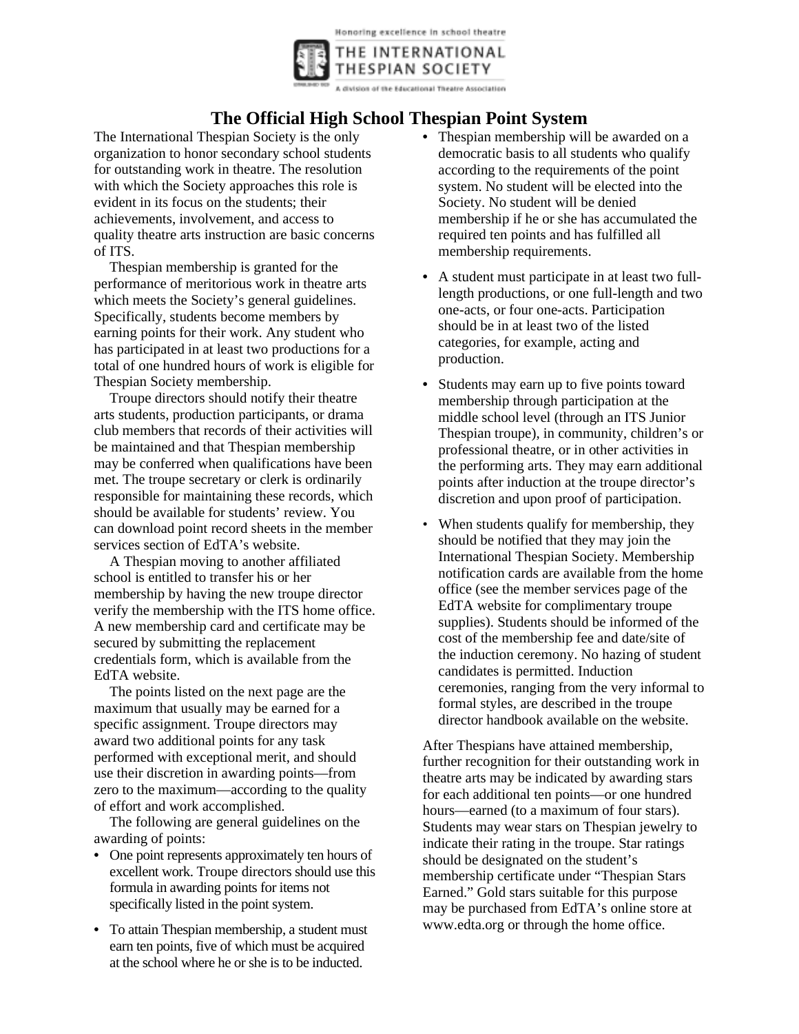Honoring excellence in school theatre



A division of the Educational Theatre Association

## **The Official High School Thespian Point System**

The International Thespian Society is the only organization to honor secondary school students for outstanding work in theatre. The resolution with which the Society approaches this role is evident in its focus on the students; their achievements, involvement, and access to quality theatre arts instruction are basic concerns of ITS.

Thespian membership is granted for the performance of meritorious work in theatre arts which meets the Society's general guidelines. Specifically, students become members by earning points for their work. Any student who has participated in at least two productions for a total of one hundred hours of work is eligible for Thespian Society membership.

Troupe directors should notify their theatre arts students, production participants, or drama club members that records of their activities will be maintained and that Thespian membership may be conferred when qualifications have been met. The troupe secretary or clerk is ordinarily responsible for maintaining these records, which should be available for students' review. You can download point record sheets in the member services section of EdTA's website.

A Thespian moving to another affiliated school is entitled to transfer his or her membership by having the new troupe director verify the membership with the ITS home office. A new membership card and certificate may be secured by submitting the replacement credentials form, which is available from the EdTA website.

The points listed on the next page are the maximum that usually may be earned for a specific assignment. Troupe directors may award two additional points for any task performed with exceptional merit, and should use their discretion in awarding points—from zero to the maximum—according to the quality of effort and work accomplished.

The following are general guidelines on the awarding of points:

- One point represents approximately ten hours of excellent work. Troupe directors should use this formula in awarding points for items not specifically listed in the point system.
- To attain Thespian membership, a student must earn ten points, five of which must be acquired at the school where he or she is to be inducted.
- Thespian membership will be awarded on a democratic basis to all students who qualify according to the requirements of the point system. No student will be elected into the Society. No student will be denied membership if he or she has accumulated the required ten points and has fulfilled all membership requirements.
- A student must participate in at least two fulllength productions, or one full-length and two one-acts, or four one-acts. Participation should be in at least two of the listed categories, for example, acting and production.
- Students may earn up to five points toward membership through participation at the middle school level (through an ITS Junior Thespian troupe), in community, children's or professional theatre, or in other activities in the performing arts. They may earn additional points after induction at the troupe director's discretion and upon proof of participation.
- When students qualify for membership, they should be notified that they may join the International Thespian Society. Membership notification cards are available from the home office (see the member services page of the EdTA website for complimentary troupe supplies). Students should be informed of the cost of the membership fee and date/site of the induction ceremony. No hazing of student candidates is permitted. Induction ceremonies, ranging from the very informal to formal styles, are described in the troupe director handbook available on the website.

After Thespians have attained membership, further recognition for their outstanding work in theatre arts may be indicated by awarding stars for each additional ten points—or one hundred hours—earned (to a maximum of four stars). Students may wear stars on Thespian jewelry to indicate their rating in the troupe. Star ratings should be designated on the student's membership certificate under "Thespian Stars Earned." Gold stars suitable for this purpose may be purchased from EdTA's online store at www.edta.org or through the home office.